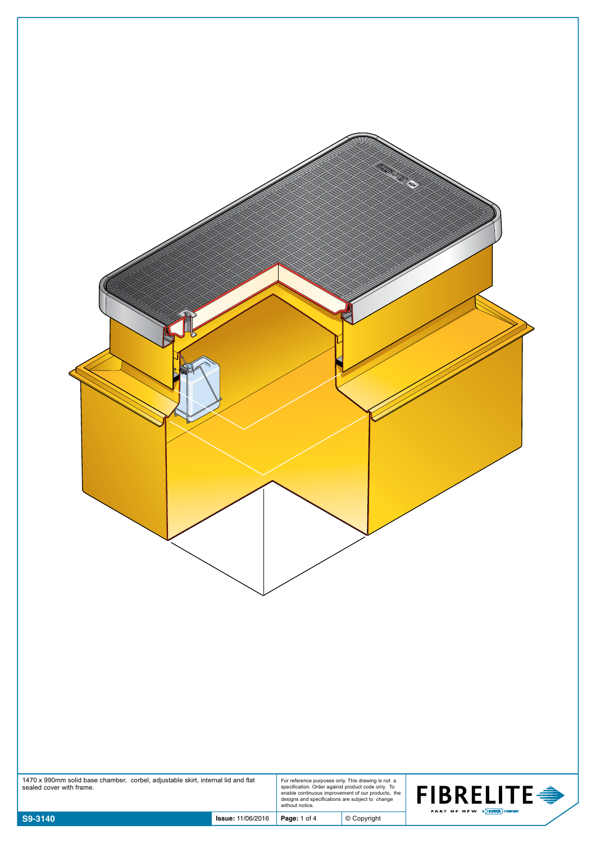| 1470 x 990mm solid base chamber, corbel, adjustable skirt, internal lid and flat<br>For reference purposes only. This drawing is not a<br>specification. Order against product code only. To<br>enable continuous improvement of our products, the<br>designs and specifications are subject to change<br>without notice.<br>sealed cover with frame.<br><b>FIBRELITE →</b><br>PART OF OPW A DOVER COMPANY<br>S9-3140<br>$©$ Copyright<br><b>Issue: 11/06/2016</b><br>Page: 1 of 4 |
|------------------------------------------------------------------------------------------------------------------------------------------------------------------------------------------------------------------------------------------------------------------------------------------------------------------------------------------------------------------------------------------------------------------------------------------------------------------------------------|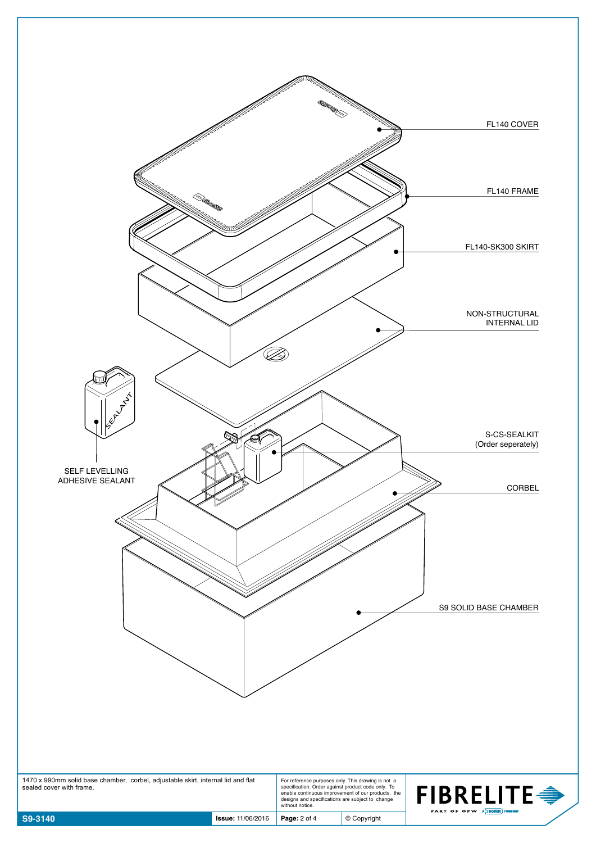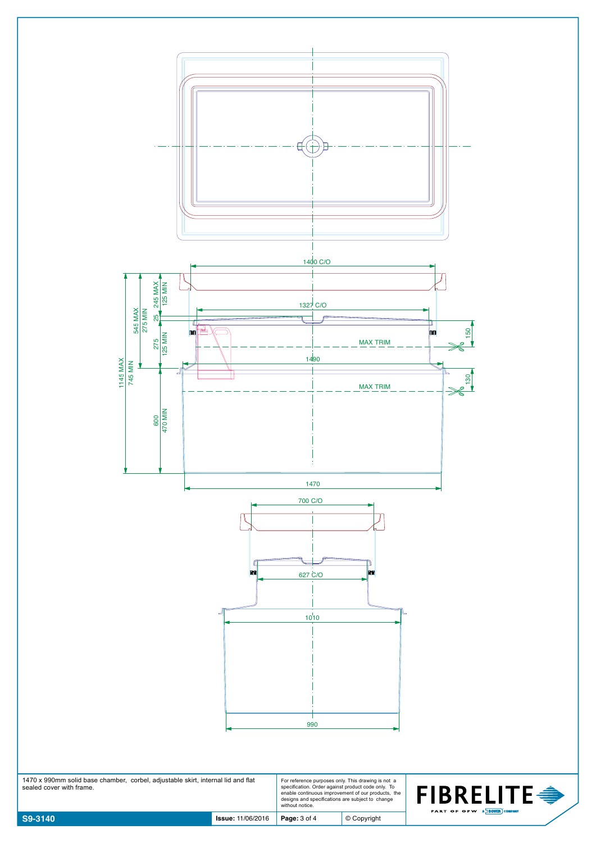